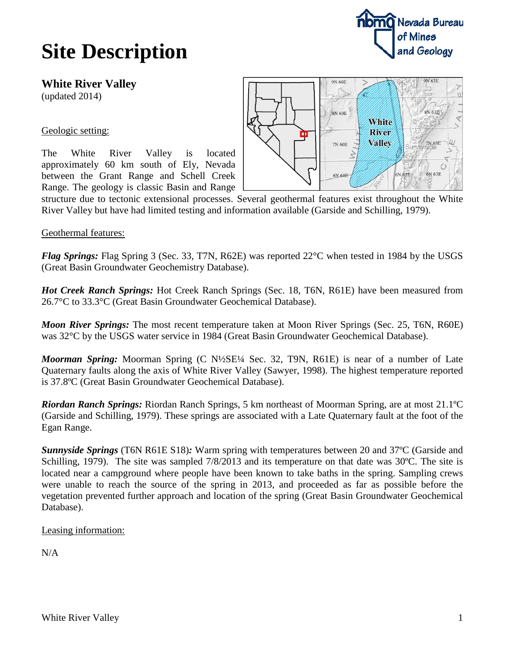## **Site Description**

**White River Valley** (updated 2014)

## Geologic setting:

The White River Valley is located approximately 60 km south of Ely, Nevada between the Grant Range and Schell Creek Range. The geology is classic Basin and Range



structure due to tectonic extensional processes. Several geothermal features exist throughout the White River Valley but have had limited testing and information available (Garside and Schilling, 1979).

## Geothermal features:

*Flag Springs:* Flag Spring 3 (Sec. 33, T7N, R62E) was reported 22°C when tested in 1984 by the USGS (Great Basin Groundwater Geochemistry Database).

*Hot Creek Ranch Springs:* Hot Creek Ranch Springs (Sec. 18, T6N, R61E) have been measured from 26.7°C to 33.3°C (Great Basin Groundwater Geochemical Database).

*Moon River Springs:* The most recent temperature taken at Moon River Springs (Sec. 25, T6N, R60E) was 32°C by the USGS water service in 1984 (Great Basin Groundwater Geochemical Database).

*Moorman Spring:* Moorman Spring (C N½SE¼ Sec. 32, T9N, R61E) is near of a number of Late Quaternary faults along the axis of White River Valley (Sawyer, 1998). The highest temperature reported is 37.8ºC (Great Basin Groundwater Geochemical Database).

*Riordan Ranch Springs:* Riordan Ranch Springs, 5 km northeast of Moorman Spring, are at most 21.1ºC (Garside and Schilling, 1979). These springs are associated with a Late Quaternary fault at the foot of the Egan Range.

*Sunnyside Springs* (T6N R61E S18)*:* Warm spring with temperatures between 20 and 37ºC (Garside and Schilling, 1979). The site was sampled 7/8/2013 and its temperature on that date was 30ºC. The site is located near a campground where people have been known to take baths in the spring. Sampling crews were unable to reach the source of the spring in 2013, and proceeded as far as possible before the vegetation prevented further approach and location of the spring (Great Basin Groundwater Geochemical Database).

Leasing information:

N/A